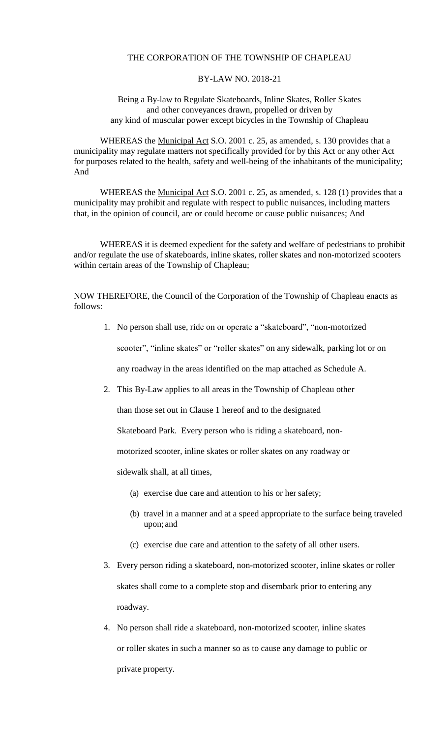## THE CORPORATION OF THE TOWNSHIP OF CHAPLEAU

## BY-LAW NO. 2018-21

## Being a By-law to Regulate Skateboards, Inline Skates, Roller Skates and other conveyances drawn, propelled or driven by any kind of muscular power except bicycles in the Township of Chapleau

WHEREAS the Municipal Act S.O. 2001 c. 25, as amended, s. 130 provides that a municipality may regulate matters not specifically provided for by this Act or any other Act for purposes related to the health, safety and well-being of the inhabitants of the municipality; And

WHEREAS the Municipal Act S.O. 2001 c. 25, as amended, s. 128 (1) provides that a municipality may prohibit and regulate with respect to public nuisances, including matters that, in the opinion of council, are or could become or cause public nuisances; And

WHEREAS it is deemed expedient for the safety and welfare of pedestrians to prohibit and/or regulate the use of skateboards, inline skates, roller skates and non-motorized scooters within certain areas of the Township of Chapleau;

NOW THEREFORE, the Council of the Corporation of the Township of Chapleau enacts as follows:

1. No person shall use, ride on or operate a "skateboard", "non-motorized

scooter", "inline skates" or "roller skates" on any sidewalk, parking lot or on

any roadway in the areas identified on the map attached as Schedule A.

2. This By-Law applies to all areas in the Township of Chapleau other

than those set out in Clause 1 hereof and to the designated

Skateboard Park. Every person who is riding a skateboard, non-

motorized scooter, inline skates or roller skates on any roadway or

sidewalk shall, at all times,

- (a) exercise due care and attention to his or her safety;
- (b) travel in a manner and at a speed appropriate to the surface being traveled upon; and
- (c) exercise due care and attention to the safety of all other users.
- 3. Every person riding a skateboard, non-motorized scooter, inline skates or roller skates shall come to a complete stop and disembark prior to entering any roadway.
- 4. No person shall ride a skateboard, non-motorized scooter, inline skates or roller skates in such a manner so as to cause any damage to public or private property.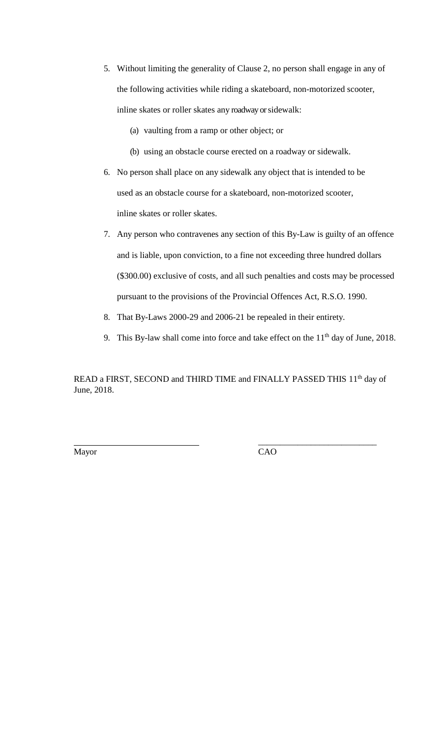- 5. Without limiting the generality of Clause 2, no person shall engage in any of the following activities while riding a skateboard, non-motorized scooter, inline skates or roller skates any roadway or sidewalk:
	- (a) vaulting from a ramp or other object; or
	- (b) using an obstacle course erected on a roadway or sidewalk.
- 6. No person shall place on any sidewalk any object that is intended to be used as an obstacle course for a skateboard, non-motorized scooter, inline skates or roller skates.
- 7. Any person who contravenes any section of this By-Law is guilty of an offence and is liable, upon conviction, to a fine not exceeding three hundred dollars (\$300.00) exclusive of costs, and all such penalties and costs may be processed pursuant to the provisions of the Provincial Offences Act, R.S.O. 1990.
- 8. That By-Laws 2000-29 and 2006-21 be repealed in their entirety.
- 9. This By-law shall come into force and take effect on the  $11<sup>th</sup>$  day of June, 2018.

READ a FIRST, SECOND and THIRD TIME and FINALLY PASSED THIS 11<sup>th</sup> day of June, 2018.

\_\_\_\_\_\_\_\_\_\_\_\_\_\_\_\_\_\_\_\_\_\_\_\_\_\_\_

Mayor CAO